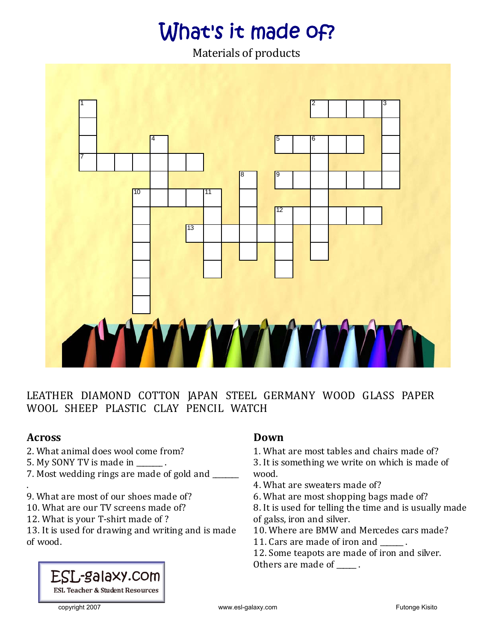## What's it made of?

Materials of products



LEATHER DIAMOND COTTON JAPAN STEEL GERMANY WOOD GLASS PAPER WOOL SHEEP PLASTIC CLAY PENCIL WATCH

#### **Across**

- 2. What animal does wool come from?
- 5. My SONY TV is made in \_\_\_\_\_\_\_.
- 7. Most wedding rings are made of gold and \_\_\_\_\_\_\_ .
- 9. What are most of our shoes made of?
- 10. What are our TV screens made of?
- 12. What is your T‐shirt made of ?

13. It is used for drawing and writing and is made of wood.

### **Down**

1. What are most tables and chairs made of?

3. It is something we write on which is made of wood.

- 4. What are sweaters made of?
- 6. What are most shopping bags made of?

8. It is used for telling the time and is usually made of galss, iron and silver.

- 10. Where are BMW and Mercedes cars made?
- 11. Cars are made of iron and  $\qquad \qquad$ .
- 12. Some teapots are made of iron and silver.

Others are made of \_\_\_\_\_.